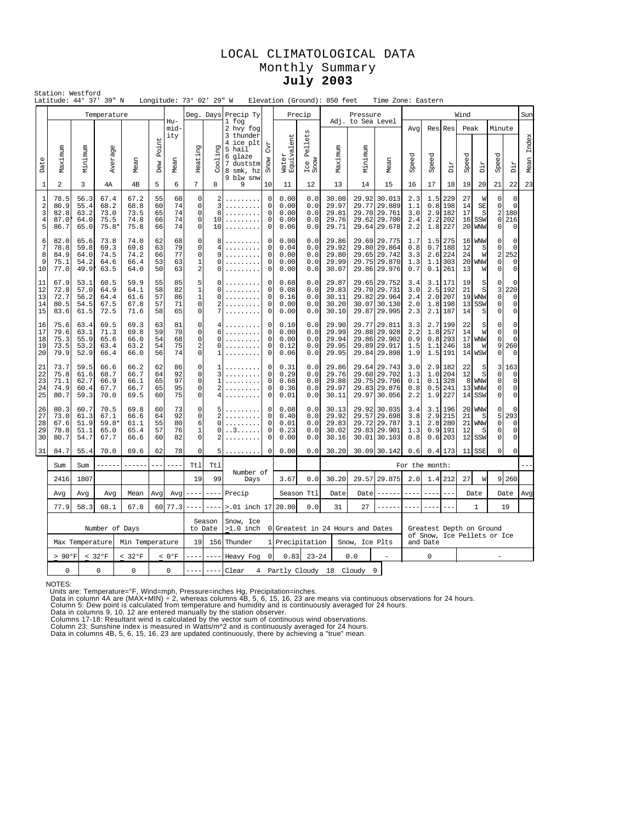## LOCAL CLIMATOLOGICAL DATA Monthly Summary **July 2003**

|                                                          | Station: Westford                                        |                                       | Latitude: 44° 37' 39" N                 |                                      |                            |                            | Longitude: 73° 02' 29" W                                                |                                                                                 |                                                                                             |                                                                           |                                      |                                 | Elevation (Ground): 850 feet                       |                              | Time Zone: Eastern                                                           |                                 |                                      |                                           |                            |                                                    |                                                                        |                                                           |               |
|----------------------------------------------------------|----------------------------------------------------------|---------------------------------------|-----------------------------------------|--------------------------------------|----------------------------|----------------------------|-------------------------------------------------------------------------|---------------------------------------------------------------------------------|---------------------------------------------------------------------------------------------|---------------------------------------------------------------------------|--------------------------------------|---------------------------------|----------------------------------------------------|------------------------------|------------------------------------------------------------------------------|---------------------------------|--------------------------------------|-------------------------------------------|----------------------------|----------------------------------------------------|------------------------------------------------------------------------|-----------------------------------------------------------|---------------|
|                                                          |                                                          |                                       | Temperature                             |                                      |                            |                            |                                                                         | Deg. Days                                                                       | Precip Ty                                                                                   |                                                                           |                                      | Precip                          |                                                    | Pressure                     |                                                                              |                                 |                                      |                                           | Wind                       |                                                    |                                                                        |                                                           | Sun           |
| Date                                                     | Maximum                                                  | Minimum                               | Average                                 | Mean                                 | Point<br>Dew               | Hu-<br>mid-<br>ity<br>Mean | Heating                                                                 | Cooling                                                                         | 1 fog<br>2 hvy fog<br>3 thunder<br>4 ice plt<br>5 hail<br>6 glaze<br>7 duststm<br>8 smk, hz | <b>CVE</b><br>Snow                                                        | Water<br>Equivalent                  | Pellets<br>Ice I<br>Snow        | Maximum                                            | Adj. to Sea Level<br>Minimum | Mean                                                                         | Avq<br>Speed                    | Res<br>Speed                         | Res<br>Dir                                | Peak<br>Speed              | Dir                                                | Minute<br>Speed                                                        | Dir                                                       | Index<br>Mean |
| $\mathbf{1}$                                             | 2                                                        | 3                                     | 4А                                      | 4 <sub>B</sub>                       | 5                          | 6                          | $\overline{7}$                                                          | 8                                                                               | 9 blw snw<br>9                                                                              | 10                                                                        | 11                                   | 12                              | 13                                                 | 14                           | 15                                                                           | 16                              | 17                                   | 18                                        | 19                         | 20                                                 | 21                                                                     | 22                                                        | 23            |
| 1<br>$\overline{\mathbf{c}}$<br>3<br>$\overline{4}$<br>5 | 78.5<br>80.9<br>82.8<br>87.0<br>86.7                     | 56.3<br>55.4<br>63.2<br>64.0<br>65.0  | 67.4<br>68.2<br>73.0<br>75.5<br>$75.8*$ | 67.2<br>68.8<br>73.5<br>74.8<br>75.8 | 55<br>60<br>65<br>66<br>66 | 68<br>74<br>74<br>74<br>74 | $\mathbf 0$<br>$\circ$<br>$\mathbf 0$<br>$\mathbf 0$<br>$\mathbf 0$     | $\overline{a}$<br>3<br>8<br>10<br>10                                            | .<br>.                                                                                      | $\mathsf 0$<br>$\mathbf 0$<br>0<br>$\mathbf 0$<br>$\mathbf 0$             | 0.00<br>0.00<br>0.00<br>0.00<br>0.06 | 0.0<br>0.0<br>0.0<br>0.0<br>0.0 | 30.08<br>29.97<br>29.81<br>29.76<br>29.71          | 29.92<br>29.77               | 30.013<br>29.889<br>29.70 29.761<br>29.62 29.700<br>29.64 29.678             | 2.3<br>1.1<br>3.0<br>2.4<br>2.2 | 1.5<br>0.8<br>2.9<br>2.2<br>1.8      | 229<br>198<br>182<br>202<br>227           | 27<br>14<br>17<br>16       | W<br>SE<br>S<br>SSW<br><b>20 WNW</b>               | $\mathbf 0$<br>$\circ$<br>$\overline{a}$<br>$\mathbf 0$<br>$\mathbf 0$ | $\mathbf 0$<br>$\Omega$<br>180<br>216<br>$\mathbf 0$      |               |
| 6<br>7<br>8<br>9<br>10                                   | 82.0<br>78.8<br>84.9<br>75.1<br>77.0                     | 65.6<br>59.8<br>64.0<br>54.2<br>49.91 | 73.8<br>69.3<br>74.5<br>64.6<br>63.5    | 74.0<br>69.8<br>74.2<br>66.4<br>64.0 | 62<br>63<br>66<br>53<br>50 | 68<br>79<br>77<br>63<br>63 | $\mathbf 0$<br>$\circ$<br>$\mathsf 0$<br>$\mathbf{1}$<br>$\overline{a}$ | 8<br>$\overline{4}$<br>9<br>$\Omega$                                            | .                                                                                           | $\mathbf 0$<br>$\mathbf 0$<br>$\mathsf{O}\xspace$<br>$\mathbf 0$<br>0     | 0.00<br>0.04<br>0.00<br>0.00<br>0.00 | 0.0<br>0.0<br>0.0<br>0.0<br>0.0 | 29.86<br>29.92<br>29.80<br>29.99<br>30.07          |                              | 29.69 29.775<br>29.80 29.864<br>29.65 29.742<br>29.75 29.870<br>29.86 29.976 | 1.7<br>0.8<br>3.3<br>1.3<br>0.7 | 1.5<br>0.7<br>1.1                    | 275<br>188<br>2.6 224<br>303<br>$0.1$ 261 | 12<br>24<br>13             | 16 WNW<br>S<br>W<br><b>20 WNW</b><br>W             | 0<br>0<br>$\overline{a}$<br>$\mathbf 0$<br>$\overline{0}$              | $\mathbf 0$<br>$\Omega$<br>252<br>$\Omega$<br>$\mathbf 0$ |               |
| 11<br>12<br>13<br>14<br>15                               | 67.9<br>72.8<br>72.7<br>80.5<br>83.6                     | 53.1<br>57.0<br>56.2<br>54.5<br>61.5  | 60.5<br>64.9<br>64.4<br>67.5<br>72.5    | 59.9<br>64.1<br>61.6<br>67.8<br>71.6 | 55<br>58<br>57<br>57<br>58 | 85<br>82<br>86<br>71<br>65 | 5<br>$\frac{1}{1}$<br>$\mathbf 0$<br>$\mathbf 0$                        | $\Omega$<br>$\Omega$<br>7                                                       |                                                                                             | 0<br>$\mathbf 0$<br>$\mathbf{0}$<br>$\mathbf 0$<br>$\mathbf 0$            | 0.68<br>0.08<br>0.16<br>0.00<br>0.00 | 0.0<br>0.0<br>0.0<br>0.0<br>0.0 | 29.87<br>29.83<br>30.11<br>30.20<br>30.10          | 29.65                        | 29.752<br>29.70 29.731<br>29.82 29.964<br>30.07 30.130<br>29.87 29.995       | 3.4<br>3.0<br>2.4<br>2.0<br>2.3 | 3.1<br>2.5<br>2.0<br>1.8<br>2.1      | 171<br>192<br>207<br>198<br>187           | 19<br>21<br>19<br>13<br>14 | S<br>S<br><b>WNW</b><br>SSW<br>S                   | 0<br>3<br>$\mathsf{O}\xspace$<br>$\mathsf 0$<br>$\circ$                | $\sqrt{ }$<br>220<br>0<br>0<br>$\mathbf 0$                |               |
| 16<br>17<br>18<br>19<br>20                               | 75.6<br>79.6<br>75.3<br>73.5<br>79.9                     | 63.4<br>63.1<br>55.9<br>53.2<br>52.9  | 69.5<br>71.3<br>65.6<br>63.4<br>66.4    | 69.3<br>69.8<br>66.0<br>63.2<br>66.0 | 63<br>59<br>54<br>54<br>56 | 81<br>70<br>68<br>75<br>74 | 0<br>$\mathbf 0$<br>$\Omega$<br>$\overline{a}$<br>$\mathbf 0$           | 6<br>$\cap$<br>$\Omega$<br>1                                                    |                                                                                             | 0<br>$\mathbf 0$<br>$\Omega$<br>$\mathbf 0$<br>$\mathbf 0$                | 0.10<br>0.00<br>0.00<br>0.12<br>0.06 | 0.0<br>0.0<br>0.0<br>0.0<br>0.0 | 29.90<br>29.99<br>29.94<br>29.95<br>29.95          |                              | 29.77 29.811<br>29.88 29.928<br>29.86 29.902<br>29.89 29.917<br>29.84 29.898 | 3.3<br>2.2<br>0.9<br>1.5<br>1.9 | 2.7<br>1.8<br>0.8<br>1.1             | 199<br>257<br>293<br>246<br>1.5 191       | 22<br>14<br>18             | S<br>W<br>17 WNW<br>W<br>14 WSW                    | 0<br>0<br>$\mathsf 0$<br>9<br>$\mathbf 0$                              | $\mathbf 0$<br>$\mathbf 0$<br>$\Omega$<br>260<br>O        |               |
| 21<br>22<br>23<br>24<br>25                               | 73.7<br>75.8<br>71.1<br>74.9<br>80.7                     | 59.5<br>61.6<br>62.7<br>60.4<br>59.3  | 66.6<br>68.7<br>66.9<br>67.7<br>70.0    | 66.2<br>66.7<br>66.1<br>66.7<br>69.5 | 62<br>64<br>65<br>65<br>60 | 86<br>92<br>97<br>95<br>75 | $\mathsf 0$<br>$\mathbf 0$<br>$\Omega$<br>$\mathsf 0$<br>$\mathsf 0$    | 1<br>3<br>$\overline{1}$<br>$\overline{a}$                                      |                                                                                             | 0<br>0<br>$\mathbf 0$<br>$\mathsf{O}\xspace$<br>$\Omega$                  | 0.31<br>0.29<br>0.68<br>0.36<br>0.01 | 0.0<br>0.0<br>0.0<br>0.0<br>0.0 | 29.86<br>29.76<br>29.88<br>29.97<br>30.11          |                              | 29.64 29.743<br>29.60 29.702<br>29.75 29.796<br>29.83 29.876<br>29.97 30.056 | 3.0<br>1.3<br>0.1<br>0.8<br>2.2 | 2.9<br>1.0<br>0.1<br>0.5<br>1.9      | 182<br>204<br>328<br>241<br>227           | 22<br>12<br>8<br>13<br>14  | S<br>S<br><b>WNW</b><br><b>WNW</b><br>SSW          | 3<br>0<br>$\mathbf 0$<br>$\mathsf{O}\xspace$<br>$\circ$                | 163<br>$\epsilon$<br>$\Omega$<br>$\mathbf 0$<br>$\Omega$  |               |
| 26<br>27<br>28<br>29<br>30                               | 80.3<br>73.0<br>67.6<br>78.8<br>80.7                     | 60.7<br>61.3<br>51.9<br>51.1<br>54.7  | 70.5<br>67.1<br>$59.8*$<br>65.0<br>67.7 | 69.8<br>66.6<br>61.1<br>65.4<br>66.6 | 60<br>64<br>55<br>57<br>60 | 73<br>92<br>80<br>76<br>82 | $\mathsf 0$<br>$\mathbf 0$<br>6<br>$\mathbf{1}$<br>$\mathbf 0$          | 5<br>2<br>$\Omega$<br>0<br>2                                                    | . . 3                                                                                       | $\mathsf{O}\xspace$<br>$\mathbf 0$<br>$\Omega$<br>$\Omega$<br>$\mathbf 0$ | 0.08<br>0.40<br>0.01<br>0.23<br>0.00 | 0.0<br>0.0<br>0.0<br>0.0<br>0.0 | 30.13<br>29.92<br>29.83<br>30.02<br>30.16          |                              | 29.92 30.035<br>29.57 29.698<br>29.72 29.787<br>29.83 29.901<br>30.01 30.103 | 3.4<br>3.8<br>3.1<br>1.3<br>0.8 | 3.1<br>2.9<br>2.8<br>0.9<br>0.6      | 196<br>215<br>280<br>191<br>203           | 21<br>12.<br>12            | <b>20 WNW</b><br>S S<br><b>21 WNW</b><br>-S<br>SSW | $\mathbf 0$<br>5<br>$\Omega$<br>$\Omega$<br>$\overline{0}$             | $\Omega$<br>293<br>$\cap$<br>$\Omega$<br>0                |               |
| 31                                                       | 84.7                                                     | 55.4                                  | 70.0                                    | 69.6                                 | 62                         | 78                         | $\mathbf 0$                                                             | 5                                                                               | .                                                                                           | 0                                                                         | 0.00                                 | 0.0                             | 30.20                                              |                              | 30.09 30.142                                                                 | 0.6                             | 0.4                                  | 173                                       |                            | 11 SSE                                             | $\mathbf 0$                                                            | $\Omega$                                                  |               |
|                                                          | Sum                                                      | Sum                                   |                                         |                                      | $---$                      |                            | Tt1                                                                     | Tt1                                                                             | Number of                                                                                   |                                                                           |                                      |                                 |                                                    |                              |                                                                              | For the month:                  |                                      |                                           |                            |                                                    |                                                                        |                                                           |               |
|                                                          | 2416<br>Avg                                              | 1807<br>Avg                           | Avg                                     | Mean                                 | Avg                        | 19                         | 99                                                                      | Days<br>Precip                                                                  |                                                                                             | 3.67                                                                      | 0.0<br>Season Ttl                    | 30.20<br>Date                   | Date                                               | 29.57 29.875                 | 2.0                                                                          | 1.4                             | 212                                  | 27                                        | W<br>Date                  |                                                    | 9 260<br>Date                                                          | Avg                                                       |               |
|                                                          | 77.9                                                     | 58.3                                  | 68.1                                    | 67.8                                 | Avg                        | 60 77.3                    |                                                                         |                                                                                 | >.01 inch 17                                                                                |                                                                           | 20.80                                | 0.0                             | 31                                                 | 27                           |                                                                              |                                 |                                      |                                           |                            | $\mathbf{1}$                                       |                                                                        | 19                                                        |               |
|                                                          |                                                          |                                       |                                         |                                      |                            |                            |                                                                         | Season                                                                          | Snow, Ice<br>$>1.0$ inch                                                                    |                                                                           |                                      |                                 |                                                    |                              |                                                                              |                                 |                                      |                                           |                            |                                                    |                                                                        |                                                           |               |
|                                                          |                                                          | Max Temperature                       | Number of Days                          | Min Temperature                      |                            |                            | to Date<br>19<br>156                                                    |                                                                                 | Thunder                                                                                     |                                                                           | 1 Precipitation                      |                                 |                                                    |                              | 0 Greatest in 24 Hours and Dates<br>Snow, Ice Plts                           |                                 | Greatest Depth on Ground<br>and Date |                                           |                            | of Snow, Ice Pellets or Ice                        |                                                                        |                                                           |               |
|                                                          | $> 90^{\circ}F$<br>< 32°F<br>$< 32^{\circ}F$<br>$< 0$ °F |                                       |                                         |                                      |                            |                            |                                                                         | $\mathsf{O}\xspace$<br>0.0<br>$\circ$<br>Heavy Fog<br>0.83<br>$23 - 24$<br>---- |                                                                                             |                                                                           |                                      |                                 |                                                    |                              |                                                                              |                                 |                                      |                                           |                            |                                                    |                                                                        |                                                           |               |
|                                                          | 0                                                        |                                       | 0                                       | 0                                    |                            | 0                          | ----                                                                    | $- - -$                                                                         | Clear                                                                                       |                                                                           |                                      |                                 | 9<br>Partly Cloudy 18<br>Cloudy<br>$4\overline{ }$ |                              |                                                                              |                                 |                                      |                                           |                            |                                                    |                                                                        |                                                           |               |

NOTES:

Units are: Temperature=°F, Wind=mph, Pressure=inches Hg, Precipitation=inches.<br>Data in column 4A are (MAX+MIN) ÷ 2, whereas columns 4B, 5, 6, 15, 16, 23 are means via continuous observations for 24 hours.<br>Data in column 5.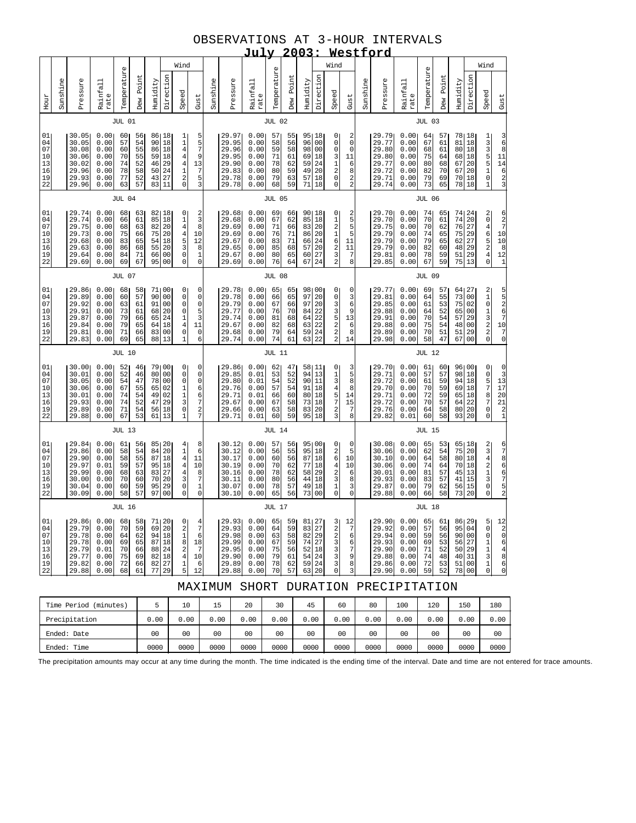## OBSERVATIONS AT 3-HOUR INTERVALS

|                                              | 2003:<br><u>July</u><br>Westford<br>Wind<br>Wind                                                                                                                                                                                                                                                                                                                                                                                                                                            |                                                                       |                                                              |                                              |                                              |                                                 |                                                                                  |                                                                                                                   |                                                                                           |          |                                                                      |                                                               |                                              |                                              |                                                             |                                                    |                                                                                                    |                                                                                      |          |                                                                      |                                                               |                                              |                                              |                                                                                         |                                                 |                                                                                                                  |                                                                                                                        |
|----------------------------------------------|---------------------------------------------------------------------------------------------------------------------------------------------------------------------------------------------------------------------------------------------------------------------------------------------------------------------------------------------------------------------------------------------------------------------------------------------------------------------------------------------|-----------------------------------------------------------------------|--------------------------------------------------------------|----------------------------------------------|----------------------------------------------|-------------------------------------------------|----------------------------------------------------------------------------------|-------------------------------------------------------------------------------------------------------------------|-------------------------------------------------------------------------------------------|----------|----------------------------------------------------------------------|---------------------------------------------------------------|----------------------------------------------|----------------------------------------------|-------------------------------------------------------------|----------------------------------------------------|----------------------------------------------------------------------------------------------------|--------------------------------------------------------------------------------------|----------|----------------------------------------------------------------------|---------------------------------------------------------------|----------------------------------------------|----------------------------------------------|-----------------------------------------------------------------------------------------|-------------------------------------------------|------------------------------------------------------------------------------------------------------------------|------------------------------------------------------------------------------------------------------------------------|
|                                              |                                                                                                                                                                                                                                                                                                                                                                                                                                                                                             |                                                                       |                                                              |                                              |                                              |                                                 |                                                                                  |                                                                                                                   |                                                                                           |          |                                                                      |                                                               |                                              |                                              |                                                             |                                                    |                                                                                                    |                                                                                      |          |                                                                      |                                                               |                                              |                                              |                                                                                         |                                                 | Wind                                                                                                             |                                                                                                                        |
| Hour                                         | Sunshine                                                                                                                                                                                                                                                                                                                                                                                                                                                                                    | Pressure                                                              | Rainfall<br>rate                                             | Temperature                                  | Point<br>Dew                                 | Humidity                                        | Direction                                                                        | Speed                                                                                                             | Gust                                                                                      | Sunshine | Pressure                                                             | Rainfall<br>rate                                              | Temperature                                  | Point<br>Dew                                 | Humidity                                                    | Direction                                          | Speed                                                                                              | Gust                                                                                 | Sunshine | Pressure                                                             | Rainfall<br>rate                                              | Temperature                                  | Point<br>Dew                                 | Humidity                                                                                | Direction                                       | Speed                                                                                                            | Gust                                                                                                                   |
|                                              |                                                                                                                                                                                                                                                                                                                                                                                                                                                                                             |                                                                       |                                                              | <b>JUL 01</b>                                |                                              |                                                 |                                                                                  |                                                                                                                   |                                                                                           |          |                                                                      |                                                               | <b>JUL 02</b>                                |                                              |                                                             |                                                    |                                                                                                    |                                                                                      |          |                                                                      |                                                               | <b>JUL 03</b>                                |                                              |                                                                                         |                                                 |                                                                                                                  |                                                                                                                        |
| 01<br>04<br>07<br>10<br>13<br>16<br>19<br>22 |                                                                                                                                                                                                                                                                                                                                                                                                                                                                                             | 30.05<br>30.05<br>30.08<br>30.06<br>30.02<br>29.96<br>29.93<br>29.96  | 0.00<br>0.00<br>0.00<br>0.00<br>0.00<br>0.00<br>0.00<br>0.00 | 60<br>57<br>60<br>70<br>74<br>78<br>77<br>63 | 56<br>54<br>55<br>55<br>52<br>58<br>52<br>57 | 90<br>86<br>59<br>46<br>50<br>43<br>83          | 86   18<br>18<br>18<br>18<br>29<br>$\begin{array}{c} 24 \\ 27 \end{array}$<br>11 | $\begin{array}{c} 1 \\ 1 \\ 4 \end{array}$<br>$\begin{array}{c} 4 \\ 4 \\ 1 \\ 2 \end{array}$<br>$\mathbf 0$      | 5<br>5<br>$\overline{7}$<br>9<br>13<br>$\begin{array}{c} 7 \\ 5 \\ 3 \end{array}$         |          | 29.97<br>29.95<br>29.96<br>29.95<br>29.90<br>29.83<br>29.78<br>29.78 | 0.001<br>0.00<br>0.00<br>0.00<br>0.00<br>0.00<br>0.00<br>0.00 | 57<br>58<br>59<br>71<br>78<br>80<br>79<br>68 | 55<br>56<br>58<br>61<br>62<br>59<br>63<br>59 | 95 18<br>96<br>98<br>69<br>59<br>49<br>57<br>71             | 0 <sub>0</sub><br>00<br>18<br>24<br>20<br>18<br>18 | 0<br>$\mathsf 0$<br>$\mathsf 0$<br>$\begin{array}{c} 3 \\ 1 \\ 2 \\ 0 \end{array}$<br>0            | 2<br>$\mathsf 0$<br>0<br>11<br>6<br>8<br>$\boldsymbol{2}$<br>$\overline{\mathbf{c}}$ |          | 29.79<br>29.77<br>29.80<br>29.80<br>29.77<br>29.72<br>29.71<br>29.74 | 0.001<br>0.00<br>0.00<br>0.00<br>0.00<br>0.00<br>0.00<br>0.00 | 64<br>67<br>68<br>75<br>80<br>82<br>79<br>73 | 57<br>61<br>61<br>64<br>68<br>70<br>69<br>65 | 78 18<br>81<br>80 18<br>68 18<br>67<br>67<br>70 18<br>78 18                             | 18<br>20<br>20                                  | 1335510<br>$\overline{1}$                                                                                        | $\begin{array}{c} 3 \\ 6 \\ 8 \end{array}$<br>$11$<br>$14$<br>$6$<br>$2$<br>$3$                                        |
|                                              |                                                                                                                                                                                                                                                                                                                                                                                                                                                                                             |                                                                       |                                                              | <b>JUL 04</b>                                |                                              |                                                 |                                                                                  |                                                                                                                   |                                                                                           |          |                                                                      |                                                               | <b>JUL 05</b>                                |                                              |                                                             |                                                    |                                                                                                    |                                                                                      |          |                                                                      |                                                               | <b>JUL 06</b>                                |                                              |                                                                                         |                                                 |                                                                                                                  |                                                                                                                        |
| 01<br>04<br>07<br>10<br>13<br>16<br>19<br>22 |                                                                                                                                                                                                                                                                                                                                                                                                                                                                                             | 29.74<br>29.74<br>29.75<br>29.73<br>29.68<br>29.63<br>29.64<br>29.69  | 0.00<br>0.00<br>0.00<br>0.00<br>0.00<br>0.00<br>0.00<br>0.00 | 68<br>66<br>68<br>75<br>83<br>86<br>84<br>69 | 63<br>61<br>63<br>66<br>65<br>68<br>71<br>67 | 82 18<br>85<br>82<br>75<br>54<br>55<br>66<br>95 | 18<br>20<br>20<br>18<br>20<br>00<br>0 <sub>0</sub>                               | 0<br>14453<br>$\mathsf 0$<br>$\mathsf 0$                                                                          | $\begin{array}{c} 2 \\ 3 \end{array}$<br>8<br>10<br>12<br>8<br>$\mathbf 1$<br>$\mathbf 0$ |          | 29.68<br>29.68<br>29.69<br>29.69<br>29.67<br>29.65<br>29.67<br>29.69 | 0.00<br>0.00<br>0.00<br>0.00<br>0.00<br>0.00<br>0.00<br>0.00  | 69<br>67<br>71<br>76<br>83<br>85<br>80<br>76 | 66<br>62<br>66<br>71<br>71<br>68<br>65<br>64 | 90   18<br>85<br>83<br>86<br>66<br>57<br>60<br>67           | 18<br>20<br>20<br>24<br>20<br>27<br>24             | 0<br>$\begin{array}{c}\n1 \\ 2 \\ 1 \\ 6\n\end{array}$<br>$\frac{2}{3}$<br>$\overline{a}$          | 2<br>5<br>$\frac{5}{5}$<br>11<br>11<br>7<br>8                                        |          | 29.70<br>29.70<br>29.75<br>29.79<br>29.79<br>29.79<br>29.81<br>29.85 | 0.00<br>0.00<br>0.00<br>0.00<br>0.00<br>0.00<br>0.00<br>0.00  | 74<br>70<br>70<br>74<br>79<br>82<br>78<br>67 | 65<br>61<br>62<br>65<br>65<br>60<br>59<br>59 | $74\,$<br>76<br>75<br>62<br>48<br>51<br>75                                              | 74 24<br>20<br>27<br>29<br>27<br>29<br>29<br>13 | 20465240                                                                                                         | 6<br>2<br>7<br>10<br>10<br>8<br>$\begin{smallmatrix}12\1\1\end{smallmatrix}$                                           |
|                                              |                                                                                                                                                                                                                                                                                                                                                                                                                                                                                             |                                                                       |                                                              | <b>JUL 07</b>                                |                                              |                                                 |                                                                                  |                                                                                                                   |                                                                                           |          |                                                                      |                                                               | <b>JUL 08</b>                                |                                              |                                                             |                                                    |                                                                                                    |                                                                                      |          |                                                                      |                                                               | <b>JUL 09</b>                                |                                              |                                                                                         |                                                 |                                                                                                                  |                                                                                                                        |
| 01<br>04<br>07<br>10<br>13<br>16<br>19<br>22 | 0.00<br>29.86<br>71 00<br>0<br>68<br>58<br>0 <sub>0</sub><br>29.89<br>0.00<br>60<br>57<br>90<br>$\mathsf{O}\xspace$<br>29.92<br>$\mathbf 0$<br>0.00<br>63<br>61<br>91<br>0 <sub>0</sub><br>20<br>$\mathsf{O}\xspace$<br>29.91<br>0.00<br>73<br>61<br>68<br>$\begin{array}{c} 1 \\ 4 \\ 0 \end{array}$<br>29.87<br>0.00<br>79<br>66<br>65<br>24<br>79<br>65<br>29.84<br>0.00<br>64<br>18<br>29.81<br>66<br>0.00<br>71<br>83<br>00<br>$\overline{1}$<br>0.00<br>69<br>65<br>88<br>13<br>29.83 |                                                                       |                                                              |                                              |                                              |                                                 |                                                                                  |                                                                                                                   | 0<br>$\mathsf 0$<br>0<br>$\frac{5}{3}$<br>11<br>$\mathsf{O}\xspace$<br>6                  |          | 29.78<br>29.78<br>29.79<br>29.77<br>29.74<br>29.67<br>29.68<br>29.74 | 0.00<br>0.00<br>0.00<br>0.00<br>0.00<br>0.00<br>0.00<br>0.00  | 65<br>66<br>67<br>76<br>81<br>82<br>79<br>74 | 65<br>65<br>66<br>70<br>68<br>68<br>64<br>61 | 98 00<br>97<br>97<br>84<br>64<br>63<br>59<br>63             | 20<br>20<br>22<br>22<br>22<br>24<br>22             | 0<br>$\mathsf 0$<br>3<br>3522                                                                      | 0<br>3<br>6<br>9<br>13<br>6<br>8<br>14                                               |          | 29.77<br>29.81<br>29.85<br>29.88<br>29.91<br>29.88<br>29.89<br>29.98 | 0.00<br>0.00<br>0.00<br>0.00<br>0.00<br>0.00<br>0.00<br>0.00  | 69<br>64<br>61<br>64<br>70<br>75<br>70<br>58 | 57<br>55<br>53<br>52<br>54<br>54<br>51<br>47 | 73<br>75<br>65<br>57<br>48<br>51<br>67                                                  | 64 27<br>00<br>02<br>00<br>29<br>00<br>29<br>00 | 2101320                                                                                                          | יט פו ס 10<br>ס 10<br>ס 10                                                                                             |
|                                              |                                                                                                                                                                                                                                                                                                                                                                                                                                                                                             |                                                                       |                                                              | <b>JUL 10</b>                                |                                              |                                                 |                                                                                  |                                                                                                                   |                                                                                           |          |                                                                      |                                                               | <b>JUL 11</b>                                |                                              |                                                             |                                                    |                                                                                                    |                                                                                      |          |                                                                      |                                                               | <b>JUL 12</b>                                |                                              |                                                                                         |                                                 |                                                                                                                  |                                                                                                                        |
| 01<br>04<br>07<br>10<br>13<br>16<br>19<br>22 |                                                                                                                                                                                                                                                                                                                                                                                                                                                                                             | 30.00<br>30.01<br>30.05<br>30.06<br>30.01<br>29.93<br>29.89<br>29.88  | 0.00<br>0.00<br>0.00<br>0.00<br>0.00<br>0.00<br>0.00<br>0.00 | 52<br>52<br>54<br>67<br>74<br>74<br>71<br>67 | 46<br>46<br>47<br>55<br>54<br>52<br>54<br>53 | 80<br>78<br>65<br>49<br>47<br>56<br>61          | 79100<br>0 <sub>0</sub><br>00<br>02<br>02<br>29<br>18<br>13                      | 0<br>$\mathsf{O}\xspace$<br>$\mathsf 0$<br>$\frac{1}{1}$<br>3<br>$\mathsf 0$<br>$\mathbf{1}$                      | $\mathsf 0$<br>0<br>$\mathsf{O}$<br>6<br>6<br>$\overline{\mathcal{I}}$<br>$\frac{2}{7}$   |          | 29.86<br>29.85<br>29.80<br>29.76<br>29.71<br>29.67<br>29.66<br>29.71 | 0.00<br>0.01<br>0.01<br>0.00<br>0.01<br>0.00<br>0.00<br>0.01  | 62<br>53<br>54<br>57<br>66<br>67<br>63<br>60 | 47<br>52<br>52<br>54<br>60<br>58<br>58<br>59 | 58 11<br>94<br>90<br>91<br>80<br>73<br>83<br>95             | $13$<br>11<br>18<br>18<br>18<br>20<br>18           | 0<br>$1\overline{3}$<br>457<br>$\boldsymbol{2}$<br>3                                               | $\frac{3}{5}$<br>8<br>8<br>14<br>15<br>7<br>8                                        |          | 29.70<br>29.71<br>29.72<br>29.70<br>29.71<br>29.72<br>29.76<br>29.82 | 0.00<br>0.00<br>0.00<br>0.00<br>0.00<br>0.00<br>0.00<br>0.01  | 61<br>57<br>61<br>70<br>72<br>70<br>64<br>60 | 60<br>57<br>59<br>59<br>59<br>57<br>58<br>58 | 96 00<br>98<br>94<br>69<br>65<br>64<br>80 20<br>93                                      | 18<br>18<br>18<br>18<br>22<br>20                | O<br>O<br>O<br>O<br>O<br>O<br>O<br>O<br>O<br>O<br>O<br>O<br>O<br><br>O<br><br><br>0<br>O<br><br>0<br>0<br>0<br>0 | $\begin{array}{c} 0 \\ 3 \\ 13 \\ 17 \\ 20 \end{array}$<br>21<br>$\begin{array}{c} 2 \\ 1 \end{array}$                 |
|                                              | <b>JUL 13</b>                                                                                                                                                                                                                                                                                                                                                                                                                                                                               |                                                                       |                                                              |                                              |                                              |                                                 |                                                                                  |                                                                                                                   |                                                                                           |          |                                                                      |                                                               | <b>JUL 14</b>                                |                                              |                                                             |                                                    |                                                                                                    |                                                                                      |          |                                                                      |                                                               | <b>JUL 15</b>                                |                                              |                                                                                         |                                                 |                                                                                                                  |                                                                                                                        |
| 01<br>04<br>07<br>10<br>13<br>16<br>19<br>22 |                                                                                                                                                                                                                                                                                                                                                                                                                                                                                             | 29.84<br>29.86<br>29.90<br>29.97<br>29.99<br>30.00<br>30.04<br>30.09  | 0.00<br>0.00<br>0.00<br>0.01<br>0.00<br>0.00<br>0.00<br>0.00 | 61<br>58<br>58<br>59<br>68<br>70<br>60<br>58 | 56<br>54<br>55<br>57<br>63<br>60<br>59<br>57 | 851<br>84<br>87<br>95<br>83<br>70<br>95<br>97   | 20<br>20<br>18<br>18<br>27<br>20<br>29<br>0 <sub>0</sub>                         | $\begin{array}{c} 4 \\ 1 \\ 4 \\ 4 \end{array}$<br>$\overline{4}$<br>3<br>$\mathsf{O}\xspace$<br>0                | 8<br>6<br>11<br>10<br>8<br>$\boldsymbol{7}$<br>$\mathbf 1$<br>0                           |          | 30.12<br>30.12<br>30.17<br>30.19<br>30.16<br>30.11<br>30.07<br>30.10 | 0.00<br>0.00<br>0.00<br>0.00<br>0.00<br>0.00<br>0.00<br>0.00  | 57<br>56<br>60<br>70<br>78<br>80<br>78<br>65 | 56<br>55<br>56<br>62<br>62<br>56<br>57<br>56 | 95 00<br>95<br>87<br>77<br>58<br>44<br>49<br>73             | 18<br>18<br>18<br>29<br>18<br>18<br>0 <sub>0</sub> | 0<br>$\begin{array}{c} 2 \\ 6 \end{array}$<br>$\begin{array}{c} 4 \\ 2 \\ 3 \\ 1 \end{array}$<br>0 | 0<br>5<br>10<br>10<br>6<br>8<br>3<br>$\mathsf 0$                                     |          | 30.08<br>30.06<br>30.10<br>30.06<br>30.01<br>29.93<br>29.87<br>29.88 | 0.00<br>0.00<br>0.00<br>0.00<br>0.00<br>0.00<br>0.00<br>0.00  | 65<br>62<br>64<br>74<br>81<br>83<br>79<br>66 | 53<br>54<br>58<br>64<br>57<br>57<br>62<br>58 | 75<br>80 18<br>70 18<br>45<br>$\begin{array}{c c} 41 & 15 \\ 56 & 15 \end{array}$<br>73 | 65 18<br>20<br>13<br>20                         | 2342130<br>$\mathbf{0}$                                                                                          | 67866752                                                                                                               |
|                                              |                                                                                                                                                                                                                                                                                                                                                                                                                                                                                             |                                                                       |                                                              | <b>JUL 16</b>                                |                                              |                                                 |                                                                                  |                                                                                                                   |                                                                                           |          |                                                                      |                                                               | <b>JUL 17</b>                                |                                              |                                                             |                                                    |                                                                                                    |                                                                                      |          |                                                                      |                                                               | JUL 18                                       |                                              |                                                                                         |                                                 |                                                                                                                  |                                                                                                                        |
| 01<br>04<br>07<br>10<br>13<br>16<br>19<br>22 |                                                                                                                                                                                                                                                                                                                                                                                                                                                                                             | 29.861<br>29.79<br>29.78<br>29.78<br>29.79<br>29.77<br>29.82<br>29.88 | 0.00<br>0.00<br>0.00<br>0.00<br>0.01<br>0.00<br>0.00<br>0.00 | 68<br>70<br>64<br>69<br>70<br>75<br>72<br>68 | 58<br>59<br>62<br>65<br>66<br>69<br>66<br>61 | 88<br>82<br>82<br>77                            | 71 20<br>69 20<br>94 18<br>87 18<br>24<br>18<br>27<br>29                         | 0<br>$\begin{array}{c} 2 \\ 1 \\ 8 \end{array}$<br>$\overline{\mathbf{c}}$<br>$\overline{4}$<br>$\mathbf{1}$<br>5 | 4<br>7<br>6<br>18<br>7<br>10<br>6<br>12                                                   |          | 29.93<br>29.93<br>29.98<br>29.99<br>29.95<br>29.90<br>29.89<br>29.88 | 0.001<br>0.00<br>0.00<br>0.00<br>0.00<br>0.00<br>0.00<br>0.00 | 65<br>64<br>63<br>67<br>75<br>79<br>78<br>70 | 59<br>59<br>58<br>59<br>56<br>61<br>62<br>57 | 81 27<br>83 27<br>82 29<br>74 27<br>52 18<br>54<br>59<br>63 | 24<br>24<br>20                                     | 3<br>2<br>2<br>3<br>3<br>3<br>3<br>$\mathbf 0$                                                     | 12<br>7<br>6<br>6<br>7<br>9<br>8<br>3                                                |          | 29.90<br>29.92<br>29.94<br>29.93<br>29.90<br>29.88<br>29.86<br>29.90 | 0.001<br>0.00<br>0.00<br>0.00<br>0.00<br>0.00<br>0.00<br>0.00 | 65<br>57<br>59<br>69<br>71<br>74<br>72<br>59 | 61<br>56<br>56<br>53<br>52<br>48<br>53<br>52 | 86 29<br>95<br>90 00<br>56 27<br>50 29<br>40 31<br>51 00                                | 04<br>78 00                                     | 5<br>$\overline{0}$<br>$\mathsf 0$<br>$\mathbf 1$<br>$\mathbf 1$<br>3<br>$\mathbf{1}$<br>$\overline{0}$          | $\begin{array}{c} 12 \\ 2 \\ 0 \end{array}$<br>$\epsilon$<br>$\begin{array}{c} 4 \\ 8 \\ 6 \end{array}$<br>$\mathbf 0$ |
|                                              | DURATION PRECIPITATION<br>MAXIMUM SHORT                                                                                                                                                                                                                                                                                                                                                                                                                                                     |                                                                       |                                                              |                                              |                                              |                                                 |                                                                                  |                                                                                                                   |                                                                                           |          |                                                                      |                                                               |                                              |                                              |                                                             |                                                    |                                                                                                    |                                                                                      |          |                                                                      |                                                               |                                              |                                              |                                                                                         |                                                 |                                                                                                                  |                                                                                                                        |

| (minutes)<br>Time Period |      | 10             | 15             | 20             | 30   | 45   | 60             | 80   | 100            | 120            | 150  | 180            |
|--------------------------|------|----------------|----------------|----------------|------|------|----------------|------|----------------|----------------|------|----------------|
| Precipitation            | 0.00 | 0.00           | 0.00           | 0.00           | 0.00 | 0.00 | 0.00           | 0.00 | 0.00           | 0.00           | 0.00 | 0.00           |
| Ended: Date              | 00   | 0 <sup>0</sup> | 0 <sub>0</sub> | 0 <sub>0</sub> | 00   | 00   | 0 <sub>0</sub> | 00   | 0 <sub>0</sub> | 0 <sub>0</sub> | 00   | 0 <sup>0</sup> |
| Ended: Time              | 0000 | 0000           | 0000           | 0000           | 0000 | 0000 | 0000           | 0000 | 0000           | 0000           | 0000 | 0000           |

The precipitation amounts may occur at any time during the month. The time indicated is the ending time of the interval. Date and time are not entered for trace amounts.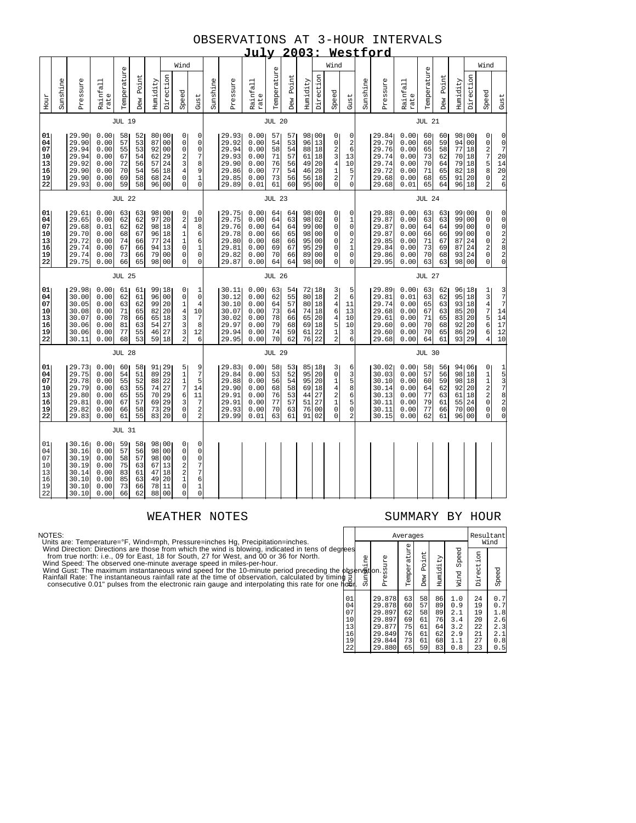### OBSERVATIONS AT 3-HOUR INTERVALS **July 2003: Westford**

|                                              |          |                                                                      |                                                              |                                              |                                              |                                              |                                                                                                        |                                                                                                           |                                                                                                                  |          |                                                                      |                                                              |                                              | 4 U                                          |                                                   |                                        | wes                                                                                                                     |                                                                                                   |          | <u> 0140</u>                                                         |                                                              |                                              |                                              |                                                          |                                              |                                                                                      |                                                                                                             |
|----------------------------------------------|----------|----------------------------------------------------------------------|--------------------------------------------------------------|----------------------------------------------|----------------------------------------------|----------------------------------------------|--------------------------------------------------------------------------------------------------------|-----------------------------------------------------------------------------------------------------------|------------------------------------------------------------------------------------------------------------------|----------|----------------------------------------------------------------------|--------------------------------------------------------------|----------------------------------------------|----------------------------------------------|---------------------------------------------------|----------------------------------------|-------------------------------------------------------------------------------------------------------------------------|---------------------------------------------------------------------------------------------------|----------|----------------------------------------------------------------------|--------------------------------------------------------------|----------------------------------------------|----------------------------------------------|----------------------------------------------------------|----------------------------------------------|--------------------------------------------------------------------------------------|-------------------------------------------------------------------------------------------------------------|
|                                              |          |                                                                      |                                                              |                                              |                                              |                                              |                                                                                                        | Wind                                                                                                      |                                                                                                                  |          |                                                                      |                                                              |                                              |                                              |                                                   |                                        | Wind                                                                                                                    |                                                                                                   |          |                                                                      |                                                              |                                              |                                              |                                                          |                                              | Wind                                                                                 |                                                                                                             |
| Hour                                         | Sunshine | Pressure                                                             | Rainfall<br>rate                                             | Temperature                                  | Dew Point                                    | Humidity                                     | Direction                                                                                              | Speed                                                                                                     | Gust                                                                                                             | Sunshine | Pressure                                                             | Rainfall<br>rate                                             | Temperature                                  | Dew Point                                    | Humidity                                          | Direction                              | Speed                                                                                                                   | Gust                                                                                              | Sunshine | Pressure                                                             | Rainfall<br>rate                                             | Temperature                                  | Dew Point                                    | Humidity                                                 | Direction                                    | Speed                                                                                | Gust                                                                                                        |
|                                              |          |                                                                      |                                                              | <b>JUL 19</b>                                |                                              |                                              |                                                                                                        |                                                                                                           |                                                                                                                  |          |                                                                      |                                                              | <b>JUL 20</b>                                |                                              |                                                   |                                        |                                                                                                                         |                                                                                                   |          |                                                                      |                                                              | <b>JUL 21</b>                                |                                              |                                                          |                                              |                                                                                      |                                                                                                             |
| 01<br>04<br>07<br>10<br>13<br>16<br>19<br>22 |          | 29.90<br>29.90<br>29.94<br>29.94<br>29.92<br>29.90<br>29.90<br>29.93 | 0.00<br>0.00<br>0.00<br>0.00<br>0.00<br>0.00<br>0.00<br>0.00 | 58<br>57<br>55<br>67<br>72<br>70<br>69<br>59 | 52<br>53<br>53<br>54<br>56<br>54<br>58<br>58 | 87<br>92<br>62<br>57<br>56<br>68<br>96       | 80100<br>00<br>0 <sub>0</sub><br>29<br>24<br>18<br>24<br>0 <sub>0</sub>                                | $\overline{0}$<br>$\circ$<br>0<br>2<br>3<br>4<br>$\overline{0}$<br>$\Omega$                               | 0<br>0<br>$\mathbf 0$<br>7<br>8<br>9<br>$\mathbf 1$<br>$\mathbf 0$                                               |          | 29.93<br>29.92<br>29.94<br>29.93<br>29.90<br>29.86<br>29.85<br>29.89 | 0.00<br>0.00<br>0.00<br>0.00<br>0.00<br>0.00<br>0.00<br>0.01 | 57<br>54<br>58<br>71<br>76<br>77<br>73<br>61 | 57<br>53<br>54<br>57<br>56<br>54<br>56<br>60 | 98 00<br>96<br>88<br>61<br>49<br>46<br>56<br>95   | 13<br>18<br>18<br>20<br>20<br>18<br>00 | $\overline{0}$<br>$\mathsf 0$<br>234120                                                                                 | 0<br>$\boldsymbol{2}$<br>6<br>13<br>10<br>$\frac{5}{7}$<br>$\overline{0}$                         |          | 29.84<br>29.79<br>29.76<br>29.74<br>29.74<br>29.72<br>29.68<br>29.68 | 0.00<br>0.00<br>0.00<br>0.00<br>0.00<br>0.00<br>0.00<br>0.01 | 60<br>60<br>65<br>73<br>70<br>71<br>68<br>65 | 60<br>59<br>58<br>62<br>64<br>65<br>65<br>64 | 98 00<br>94<br>77<br>70 18<br>79 18<br>82<br>91 20<br>96 | 00<br>18<br>18<br>18                         | 0<br>02758<br>0<br>$\overline{a}$                                                    | $\begin{matrix} 0 \\ 0 \\ 7 \end{matrix}$<br>20<br>14<br>$\begin{array}{c}\n 20 \\  20 \\  6\n \end{array}$ |
|                                              |          |                                                                      |                                                              | <b>JUL 22</b>                                |                                              |                                              |                                                                                                        |                                                                                                           |                                                                                                                  |          |                                                                      |                                                              | <b>JUL 23</b>                                |                                              |                                                   |                                        |                                                                                                                         |                                                                                                   |          |                                                                      |                                                              | <b>JUL 24</b>                                |                                              |                                                          |                                              |                                                                                      |                                                                                                             |
| 01<br>04<br>07<br>10<br>13<br>16<br>19<br>22 |          | 29.61<br>29.65<br>29.68<br>29.70<br>29.72<br>29.74<br>29.74<br>29.75 | 0.00<br>0.00<br>0.01<br>0.00<br>0.00<br>0.00<br>0.00<br>0.00 | 63<br>62<br>62<br>68<br>74<br>67<br>73<br>66 | 63<br>62<br>62<br>67<br>66<br>66<br>66<br>65 | 98<br>97<br>98<br>96<br>77<br>94<br>79<br>98 | 00<br>20<br>18<br>18<br>24<br>13<br>00<br>0 <sub>0</sub>                                               | 0<br>$\overline{\mathbf{c}}$<br>$\overline{4}$<br>$\mathbf 1$<br>$\mathbf{1}$<br>0<br>$\overline{0}$<br>0 | 0<br>10<br>8<br>6<br>6<br>$\bar{1}$<br>$\mathbf 0$<br>0                                                          |          | 29.75<br>29.75<br>29.76<br>29.78<br>29.80<br>29.81<br>29.82<br>29.87 | 0.00<br>0.00<br>0.00<br>0.00<br>0.00<br>0.00<br>0.00<br>0.00 | 64<br>64<br>64<br>66<br>68<br>69<br>70<br>64 | 64<br>63<br>64<br>65<br>66<br>67<br>66<br>64 | 98100<br>98<br>99<br>98<br>95<br>95<br>89<br>98   | 02<br>00<br>00<br>00<br>29<br>00<br>00 | 0<br>$\mathsf 0$<br>$\mathsf 0$<br>0<br>0<br>0<br>0<br>0                                                                | 0<br>$\mathbf 1$<br>$\mathsf 0$<br>0<br>2<br>$\overline{1}$<br>$\mathsf{O}\xspace$<br>$\mathbf 0$ |          | 29.88<br>29.87<br>29.87<br>29.87<br>29.85<br>29.84<br>29.86<br>29.95 | 0.00<br>0.00<br>0.00<br>0.00<br>0.00<br>0.00<br>0.00<br>0.00 | 63<br>63<br>64<br>66<br>71<br>73<br>70<br>63 | 63<br>63<br>64<br>66<br>67<br>69<br>68<br>63 | 99 00<br>99<br>99<br>99<br>87<br>87<br>93<br>98          | 00<br>00<br>00<br>24<br>24<br>24<br>00       | 0<br>$\mathbf 0$<br>$\bar{0}$<br>$\mathbf 0$<br>0<br>$\frac{2}{0}$<br>$\overline{0}$ | 00022820                                                                                                    |
|                                              |          |                                                                      |                                                              | <b>JUL 25</b>                                |                                              |                                              |                                                                                                        |                                                                                                           |                                                                                                                  |          |                                                                      |                                                              | <b>JUL 26</b>                                |                                              |                                                   |                                        |                                                                                                                         |                                                                                                   |          |                                                                      |                                                              | <b>JUL 27</b>                                |                                              |                                                          |                                              |                                                                                      |                                                                                                             |
| 01<br>04<br>07<br>10<br>13<br>16<br>19<br>22 |          | 29.98<br>30.00<br>30.05<br>30.08<br>30.07<br>30.06<br>30.06<br>30.11 | 0.00<br>0.00<br>0.00<br>0.00<br>0.00<br>0.00<br>0.00<br>0.00 | 61<br>62<br>63<br>71<br>78<br>81<br>77<br>68 | 61<br>61<br>62<br>65<br>66<br>63<br>55<br>53 | 96<br>99<br>82<br>65<br>54<br>46<br>59       | 99118<br>00<br>20<br>20<br>18<br>27<br>27<br>18                                                        | $\overline{0}$<br>$\circ$<br>1<br>$\bf 4$<br>3<br>3<br>3<br>2                                             | 1<br>$\circ$<br>4<br>10<br>$\overline{7}$<br>8<br>12<br>6                                                        |          | 30.11<br>30.12<br>30.10<br>30.07<br>30.02<br>29.97<br>29.94<br>29.95 | 0.00<br>0.00<br>0.00<br>0.00<br>0.00<br>0.00<br>0.00<br>0.00 | 63<br>62<br>64<br>73<br>78<br>79<br>74<br>70 | 54<br>55<br>57<br>64<br>66<br>68<br>59<br>62 | 72   18<br>80<br>80<br>74<br>65<br>69<br>61<br>76 | 18<br>18<br>18<br>20<br>18<br>22<br>22 | $\frac{3}{2}$<br>$\frac{4}{6}$<br>$\overline{\mathbf{4}}$<br>$\begin{array}{c} 5 \\ 1 \\ 2 \end{array}$                 | 5<br>6<br>11<br>13<br>10<br>10<br>$\begin{array}{c} 3 \\ 6 \end{array}$                           |          | 29.89<br>29.81<br>29.74<br>29.68<br>29.61<br>29.60<br>29.60<br>29.68 | 0.00<br>0.01<br>0.00<br>0.00<br>0.00<br>0.00<br>0.00<br>0.00 | 63<br>63<br>65<br>67<br>71<br>70<br>70<br>64 | 62<br>62<br>63<br>63<br>65<br>68<br>65<br>61 | 96 18<br>95<br>93<br>85<br>83<br>92<br>86<br>93          | 18<br>18<br>20<br>20<br>20<br>29<br>29       | 1347566<br>$\overline{4}$                                                            | 3<br>7<br>7<br>14<br>14<br>$\begin{array}{c} 17 \\ 12 \end{array}$<br>10                                    |
|                                              |          |                                                                      |                                                              | <b>JUL 28</b>                                |                                              |                                              |                                                                                                        |                                                                                                           |                                                                                                                  |          |                                                                      |                                                              | <b>JUL 29</b>                                |                                              |                                                   |                                        |                                                                                                                         |                                                                                                   |          |                                                                      |                                                              | <b>JUL 30</b>                                |                                              |                                                          |                                              |                                                                                      |                                                                                                             |
| 01<br>04<br>07<br>10<br>13<br>16<br>19<br>22 |          | 29.73<br>29.75<br>29.78<br>29.79<br>29.80<br>29.81<br>29.82<br>29.83 | 0.00<br>0.00<br>0.00<br>0.00<br>0.00<br>0.00<br>0.00<br>0.00 | 60<br>54<br>55<br>63<br>65<br>67<br>66<br>61 | 58<br>51<br>52<br>55<br>55<br>57<br>58<br>55 | 89<br>88<br>74<br>70<br>69<br>73<br>83       | 91 29<br>29<br>22<br>27<br>29<br>29<br>29<br>20                                                        | 5<br>1<br>1<br>7<br>5<br>1<br>7<br>6<br>3<br>0<br>0                                                       | 9<br>$\overline{7}$<br>5<br>14<br>11<br>$\overline{7}$<br>$\overline{\mathbf{c}}$<br>$\overline{a}$              |          | 29.83<br>29.84<br>29.88<br>29.90<br>29.91<br>29.91<br>29.93<br>29.99 | 0.00<br>0.00<br>0.00<br>0.00<br>0.00<br>0.00<br>0.00<br>0.01 | 58<br>53<br>56<br>68<br>76<br>77<br>70<br>63 | 53<br>52<br>54<br>58<br>53<br>57<br>63<br>61 | 85 18<br>95<br>95<br>69<br>44<br>51<br>76<br>91   | 20<br>20<br>18<br>27<br>27<br>00<br>02 | $\begin{array}{c} 3 \\ 0 \end{array}$<br>$\mathbf 1$<br>$\begin{array}{c} 4 \\ 2 \\ 1 \end{array}$<br>$\mathsf{O}$<br>0 | 6<br>3<br>5<br>8<br>6<br>5<br>$\mathsf 0$<br>$\overline{a}$                                       |          | 30.02<br>30.03<br>30.10<br>30.14<br>30.13<br>30.11<br>30.11<br>30.15 | 0.00<br>0.00<br>0.00<br>0.00<br>0.00<br>0.00<br>0.00<br>0.00 | 58<br>57<br>60<br>64<br>77<br>79<br>77<br>62 | 56<br>56<br>59<br>62<br>63<br>61<br>66<br>61 | 94106<br>98<br>98 18<br>92<br>61<br>55<br>70<br>96       | 18<br>20<br>18<br>24<br>0 <sub>0</sub><br>00 | 011220<br>$\overline{0}$<br>$\overline{0}$                                           | 15378200                                                                                                    |
|                                              |          |                                                                      |                                                              | <b>JUL 31</b>                                |                                              |                                              |                                                                                                        |                                                                                                           |                                                                                                                  |          |                                                                      |                                                              |                                              |                                              |                                                   |                                        |                                                                                                                         |                                                                                                   |          |                                                                      |                                                              |                                              |                                              |                                                          |                                              |                                                                                      |                                                                                                             |
| 01<br>04<br>07<br>10<br>13<br>16<br>19<br>22 |          | 30.16<br>30.16<br>30.19<br>30.19<br>30.14<br>30.10<br>30.10<br>30.10 | 0.00<br>0.00<br>0.00<br>0.00<br>0.00<br>0.00<br>0.00<br>0.00 | 59<br>57<br>58<br>75<br>83<br>85<br>73<br>66 | 58<br>56<br>57<br>63<br>61<br>63<br>66<br>62 | 98<br>98<br>67<br>47<br>49<br>78<br>88       | 98 00<br>0 <sub>0</sub><br>00<br>13<br>18<br>$\begin{array}{c} 20 \\ 11 \end{array}$<br>0 <sub>0</sub> | $\overline{0}$<br>0<br>0<br>2<br>$\begin{smallmatrix}2\\1\end{smallmatrix}$<br>0<br>0                     | 0<br>$\mathbf 0$<br>$\mathsf{O}\xspace$<br>$\boldsymbol{7}$<br>$\overline{\mathcal{I}}$<br>$6\atop1$<br>$\Omega$ |          |                                                                      |                                                              |                                              |                                              |                                                   |                                        |                                                                                                                         |                                                                                                   |          |                                                                      |                                                              |                                              |                                              |                                                          |                                              |                                                                                      |                                                                                                             |

### WEATHER NOTES SUMMARY BY HOUR

NOTES:<br>Units are: Temperature=°F, Wind=mph, Pressure=inches Hg, Precipitation=inches.<br>Units are: Temperature=°F, Wind=mph, Pressure=inches Hg, Precipitation=inches.<br>from true north: i.e., 09 for East, 18 for South, 27 for

|                                                                  |                                                                    | Averages                                                                     |                                              | Resultant<br>Wind                            |                                              |                                                      |                                                     |                                                                   |
|------------------------------------------------------------------|--------------------------------------------------------------------|------------------------------------------------------------------------------|----------------------------------------------|----------------------------------------------|----------------------------------------------|------------------------------------------------------|-----------------------------------------------------|-------------------------------------------------------------------|
| ees                                                              | earth<br><b>Disperved</b><br><b>Disperved</b><br><b>Dispersion</b> | Pressure<br>on.                                                              | Temperature                                  | Point<br>Dew                                 | Humidity                                     | Speed<br>Wind                                        | Direction                                           | Speed                                                             |
| 01<br>04<br>07<br>10<br>$\frac{13}{16}$<br>$\frac{16}{19}$<br>22 |                                                                    | 29.878<br>29.878<br>29.897<br>29.897<br>29.877<br>29.849<br>29.844<br>29.880 | 63<br>60<br>62<br>69<br>75<br>76<br>73<br>65 | 58<br>57<br>58<br>61<br>61<br>61<br>61<br>59 | 86<br>89<br>89<br>76<br>64<br>62<br>68<br>83 | 1.0<br>0.9<br>2.1<br>3.4<br>3.2<br>2.9<br>1.1<br>0.8 | 24<br>19<br>19<br>20<br>22<br>$\frac{21}{27}$<br>23 | .7<br>0<br>. 7<br>0<br>1.8<br>2.6<br>2.3<br>2.1<br>.8<br>0<br>0.5 |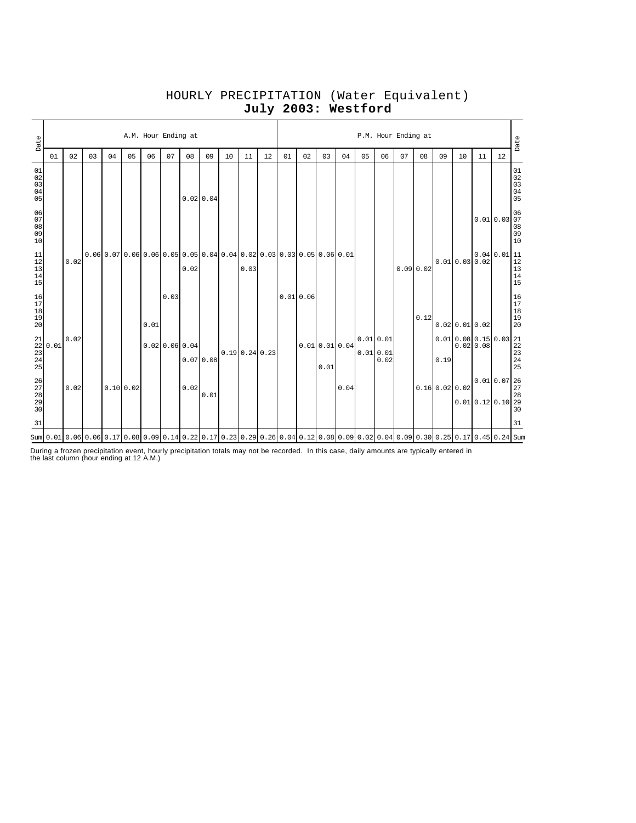# HOURLY PRECIPITATION (Water Equivalent) **July 2003: Westford**

| Date                                                                                     |                                  |      |    |    |           | A.M. Hour Ending at |                |           |                                                                                   |    |              |    |    |          |                      |                                                                                                                                                                                  |    |                              | P.M. Hour Ending at |          |    |                                                                                                                                                                     |          |                                                                                                | Date                                 |
|------------------------------------------------------------------------------------------|----------------------------------|------|----|----|-----------|---------------------|----------------|-----------|-----------------------------------------------------------------------------------|----|--------------|----|----|----------|----------------------|----------------------------------------------------------------------------------------------------------------------------------------------------------------------------------|----|------------------------------|---------------------|----------|----|---------------------------------------------------------------------------------------------------------------------------------------------------------------------|----------|------------------------------------------------------------------------------------------------|--------------------------------------|
|                                                                                          | 01                               | 02   | 03 | 04 | 05        | 06                  | 07             | 08        | 09                                                                                | 10 | 11           | 12 | 01 | 02       | 03                   | 04                                                                                                                                                                               | 05 | 06                           | 07                  | 08       | 09 | 10                                                                                                                                                                  | 11       | 12                                                                                             |                                      |
| $01$<br>$02$<br>$03$<br>$04$<br>05                                                       |                                  |      |    |    |           |                     |                | 0.0200.04 |                                                                                   |    |              |    |    |          |                      |                                                                                                                                                                                  |    |                              |                     |          |    |                                                                                                                                                                     |          |                                                                                                | $01$<br>$02$<br>$03$<br>$04$<br>$05$ |
| 06<br>$07\,$<br>08<br>09<br>10                                                           |                                  |      |    |    |           |                     |                |           |                                                                                   |    |              |    |    |          |                      |                                                                                                                                                                                  |    |                              |                     |          |    |                                                                                                                                                                     | 0.010.03 |                                                                                                | $06$ 07<br>$08$<br>$09$<br>$10$      |
| 11<br>$\begin{bmatrix} 12 \\ 13 \\ 14 \end{bmatrix}$<br>15                               |                                  | 0.02 |    |    |           |                     |                | 0.02      | $0.06$ 0.07 0.06 0.06 0.05 0.05 0.05 0.04 0.04 0.02 0.03 0.03 0.05 0.05 0.06 0.01 |    | 0.03         |    |    |          |                      |                                                                                                                                                                                  |    |                              |                     | 0.090.02 |    | 0.010.030.02                                                                                                                                                        |          | $\begin{array}{c c} 0.04 & 0.01 & 11 \\ 0.02 & & 12 \\ & & 13 \\ & & 14 \\ & & 15 \end{array}$ |                                      |
| $\begin{array}{c} 16 \\ 17 \end{array}$<br>$\begin{array}{c} 18 \\ 19 \end{array}$<br>20 |                                  |      |    |    |           | 0.01                | 0.03           |           |                                                                                   |    |              |    |    | 0.010.06 |                      |                                                                                                                                                                                  |    |                              |                     | 0.12     |    | $0.02$ 0.01 0.02                                                                                                                                                    |          |                                                                                                | 16<br>17<br>18<br>19<br>19<br>20     |
| 21<br>25                                                                                 | $\frac{22}{23}$ 0.01<br>23<br>24 | 0.02 |    |    |           |                     | 0.0200.0600.04 |           | 0.070.08                                                                          |    | 0.190.240.23 |    |    |          | 0.010.010.04<br>0.01 |                                                                                                                                                                                  |    | 0.010.01<br>0.010.01<br>0.02 |                     |          |    | $0.01\begin{array}{c c} 0.08\ 0.15\ 0.03\begin{array}{c} 21 \\ 0.02\ 0.08 \end{array} \end{array}$<br>$0.19\begin{array}{c} 22 \\ 23 \\ 24 \\ 25 \\ 25 \end{array}$ |          |                                                                                                |                                      |
| $\frac{26}{27}$<br>$\begin{array}{c} 28 \\ 29 \end{array}$<br>30                         |                                  | 0.02 |    |    | 0.10 0.02 |                     |                | 0.02      | 0.01                                                                              |    |              |    |    |          |                      | 0.04                                                                                                                                                                             |    |                              |                     |          |    | $0.16$ 0.02 0.02                                                                                                                                                    |          | $0.01$ $0.07$ $26$<br>$27$<br>$0.01$ 0.12 0.10 28                                              | 30                                   |
| 31                                                                                       |                                  |      |    |    |           |                     |                |           |                                                                                   |    |              |    |    |          |                      |                                                                                                                                                                                  |    |                              |                     |          |    |                                                                                                                                                                     |          |                                                                                                | 31                                   |
|                                                                                          |                                  |      |    |    |           |                     |                |           |                                                                                   |    |              |    |    |          |                      | atm  0.01   0.06   0.06   0.06   0.17   0.08   0.09   0.14   0.22   0.17   0.23   0.23   0.29   0.26   0.08   0.09   0.02   0.02   0.09   0.30   0.25   0.17   0.45   0.24   Sum |    |                              |                     |          |    |                                                                                                                                                                     |          |                                                                                                |                                      |

During a frozen precipitation event, hourly precipitation totals may not be recorded. In this case, daily amounts are typically entered in the last column (hour ending at 12 A.M.)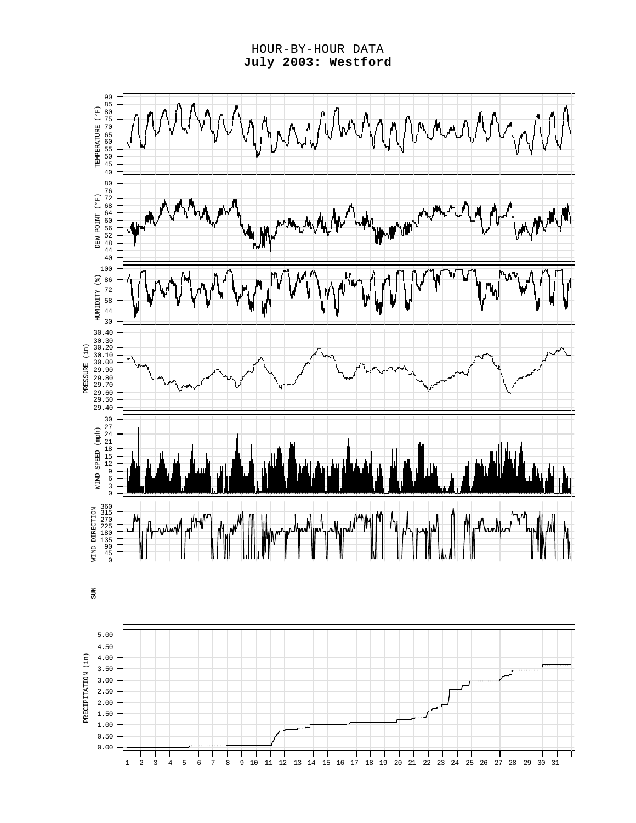HOUR-BY-HOUR DATA **July 2003: Westford**